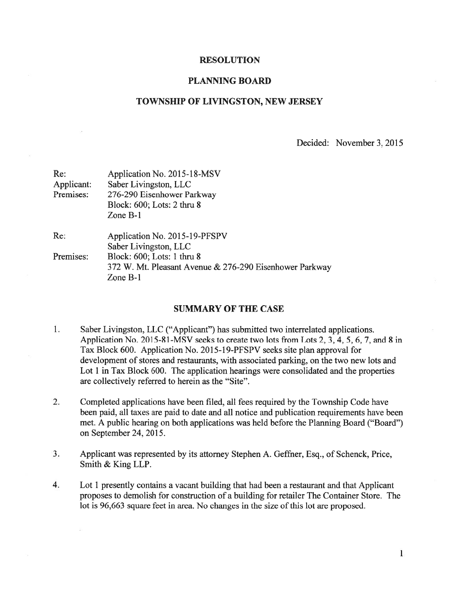#### RESOLUTION

### PLANNING BOARD

#### TOWNSHIP OF LIVINGSTON, NEW JERSEY

Decided: November 3, 2015

| Re:        | Application No. 2015-18-MSV<br>Saber Livingston, LLC    |  |
|------------|---------------------------------------------------------|--|
| Applicant: |                                                         |  |
| Premises:  | 276-290 Eisenhower Parkway                              |  |
|            | Block: 600; Lots: 2 thru 8                              |  |
|            | Zone $B-1$                                              |  |
| Re:        | Application No. 2015-19-PFSPV                           |  |
|            | Saber Livingston, LLC                                   |  |
| Premises:  | Block: 600; Lots: 1 thru 8                              |  |
|            | 372 W. Mt. Pleasant Avenue & 276-290 Eisenhower Parkway |  |
|            | Zone B-1                                                |  |

### SUMMARY OF THE CASE

- i. Saber Livingston, LLC ("Applicant") has submitted two interrelated applications. Application No. 2015-81-MSV seeks to create two lots from Lots 2, 3, 4, 5, 6, 7, and 8 in Tax Block 600. Application No. 2015-i9-PFSPV seeks site plan approval for development of stores and restaurants, with associated parking, on the two new lots and Lot 1 in Tax Block 600. The application hearings were consolidated and the properties are collectively referred to herein as the "Site".
- 2. Completed applications have been filed, all fees required by the Township Code have been paid, all taxes are paid to date and all notice and publication requirements have been met. A public hearing on both applications was held before the Planning Board ("Board") on September 24, 2015.
- 3. Applicant was represented by its attorney Stephen A. Geffner, Esq., of Schenck, Price, Smith & King LLP.
- 4. Lot 1 presently contains <sup>a</sup> vacant building that had been <sup>a</sup> restaurant and that Applicant proposes to demolish for construction of <sup>a</sup> building for retailer The Container Store. The lot is 96,663 square feet in area. No changes in the size of this lot are proposed.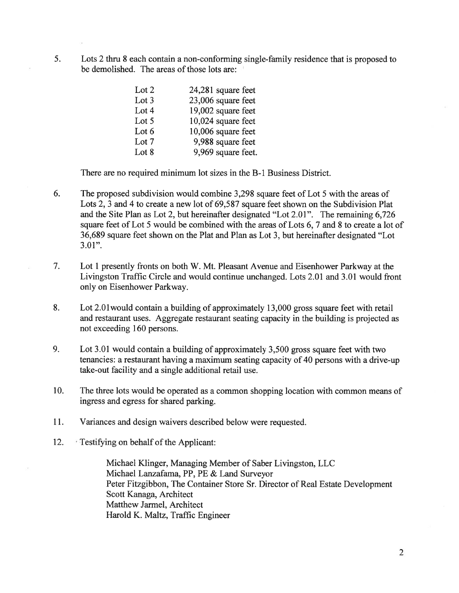5. Lots 2 thru 8 each contain <sup>a</sup> non-conforming single-family residence that is proposed to be demolished. The areas of those lots are:

| Lot 2   | 24,281 square feet |
|---------|--------------------|
| Lot $3$ | 23,006 square feet |
| Lot 4   | 19,002 square feet |
| Lot 5   | 10,024 square feet |
| Lot $6$ | 10,006 square feet |
| Lot 7   | 9,988 square feet  |
| Lot 8   | 9,969 square feet. |

There are no required minimum lot sizes in the B-i Business District.

- 6. The proposed subdivision would combine 3,298 square feet of Lot 5 with the areas of Lots 2, 3 and 4 to create <sup>a</sup> new lot of 69,587 square feet shown on the Subdivision Plat and the Site Plan as Lot 2, but hereinafter designated "Lot 2.01". The remaining 6,726 square feet of Lot 5 would be combined with the areas of Lots 6, 7 and 8 to create <sup>a</sup> lot of 36,689 square feet shown on the Plat and Plan as Lot 3, but hereinafter designated "Lot  $3.01$ ".
- 7. Lot I presently fronts on both W. Mt. Pleasant Avenue and Eisenhower Parkway at the Livingston Traffic Circle and would continue unchanged. Lots 2.01 and 3.01 would front only on Eisenhower Parkway.
- 8. Lot 2.Olwould contain <sup>a</sup> building of approximately 13,000 gross square feet with retail and restaurant uses. Aggregate restaurant seating capacity in the building is projected as not exceeding 160 persons.
- 9. Lot 3.01 would contain <sup>a</sup> building of approximately 3,500 gross square feet with two tenancies: <sup>a</sup> restaurant having <sup>a</sup> maximum seating capacity of 40 persons with <sup>a</sup> drive-up take-out facility and <sup>a</sup> single additional retail use.
- 10. The three lots would be operated as <sup>a</sup> common shopping location with common means of ingress and egress for shared parking.
- 11. Variances and design waivers described below were requested.
- 12. Testifying on behalf of the Applicant:

Michael Klinger, Managing Member of Saber Livingston, LLC Michael Lanzafama, PP, PE & Land Surveyor Peter Fitzgibbon, The Container Store Sr. Director of Real Estate Development Scott Kanaga, Architect Matthew Jarmel, Architect Harold K. Maltz, Traffic Engineer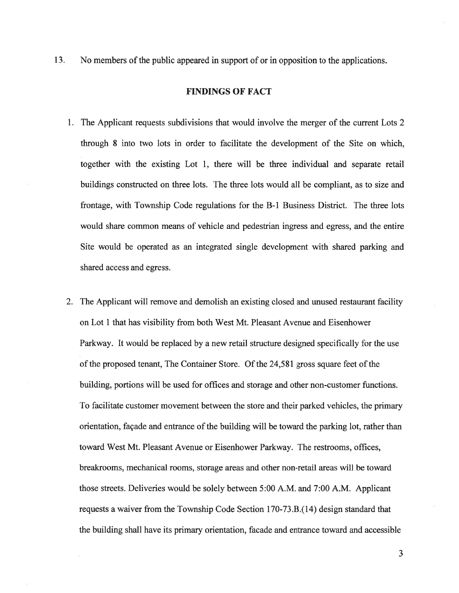13. No members of the public appeared in suppor<sup>t</sup> of or in opposition to the applications.

## FINDINGS OF FACT

- 1. The Applicant requests subdivisions that would involve the merger of the current Lots 2 through 8 into two lots in order to facilitate the development of the Site on which, together with the existing Lot 1, there will be three individual and separate retail buildings constructed on three lots. The three lots would all be compliant, as to size and frontage, with Township Code regulations for the B-i Business District. The three lots would share common means of vehicle and pedestrian ingress and egress, and the entire Site would be operated as an integrated single development with shared parking and shared access and egress.
- 2. The Applicant will remove and demolish an existing closed and unused restaurant facility on Lot 1 that has visibility from both West Mt. Pleasant Avenue and Eisenhower Parkway. It would be replaced by <sup>a</sup> new retail structure designed specifically for the use of the proposed tenant, The Container Store. Of the 24,581 gross square feet of the building, portions will be used for offices and storage and other non-customer functions. To facilitate customer movement between the store and their parked vehicles, the primary orientation, façade and entrance of the building will be toward the parking lot, rather than toward West Mt. Pleasant Avenue or Eisenhower Parkway. The restrooms, offices, breakrooms, mechanical rooms, storage areas and other non-retail areas will be toward those streets. Deliveries would be solely between 5:00 A.M. and 7:00 A.M. Applicant requests a waiver from the Township Code Section 170-73.B.(14) design standard that the building shall have its primary orientation, facade and entrance toward and accessible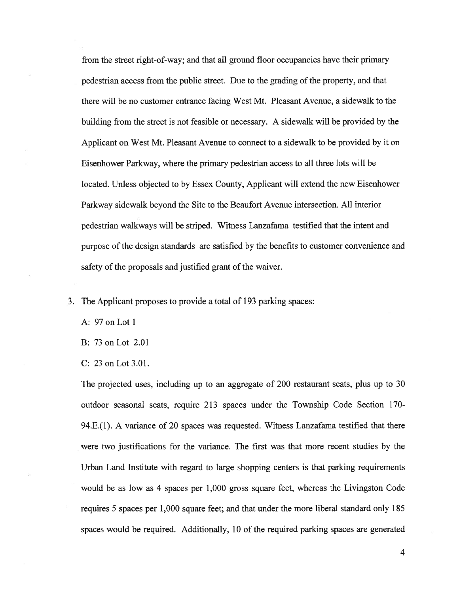from the street right-of-way; and that all ground floor occupancies have their primary pedestrian access from the public street. Due to the grading of the property, and that there will be no customer entrance facing West Mt. Pleasant Avenue, <sup>a</sup> sidewalk to the building from the street is not feasible or necessary. A sidewalk will be provided by the Applicant on West Mt. Pleasant Avenue to connect to <sup>a</sup> sidewalk to be provided by it on Eisenhower Parkway, where the primary pedestrian access to all three lots will be located. Unless objected to by Essex County, Applicant will extend the new Eisenhower Parkway sidewalk beyond the Site to the Beaufort Avenue intersection. All interior pedestrian walkways will be striped. Witness Lanzafama testified that the intent and purpose of the design standards are satisfied by the benefits to customer convenience and safety of the proposals and justified grant of the waiver.

3. The Applicant proposes to provide <sup>a</sup> total of 193 parking spaces:

A: 97 on Lot 1

B: 73onLot 2.01

C: 23onLot3.01.

The projected uses, including up to an aggregate of 200 restaurant seats, plus up to 30 outdoor seasonal seats, require 213 spaces under the Township Code Section 170- 94.E.(l). A variance of 20 spaces was requested. Witness Lanzafama testified that there were two justifications for the variance. The first was that more recent studies by the Urban Land Institute with regard to large shopping centers is that parking requirements would be as low as 4 spaces per 1,000 gross square feet, whereas the Livingston Code requires 5 spaces per 1,000 square feet; and that under the more liberal standard only 185 spaces would be required. Additionally, 10 of the required parking spaces are generated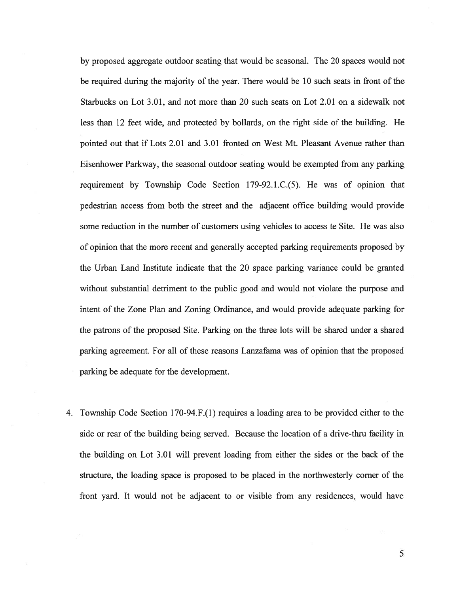by proposed aggregate outdoor seating that would be seasonal. The 20 spaces would not be required during the majority of the year. There would be 10 such seats in front of the Starbucks on Lot 3.01, and not more than 20 such seats on Lot 2.01 on <sup>a</sup> sidewalk not less than 12 feet wide, and protected by bollards, on the right side of the building. He pointed out that if Lots 2.01 and 3.01 fronted on West Mt. Pleasant Avenue rather than Eisenhower Parkway, the seasonal outdoor seating would be exempted from any parking requirement by Township Code Section 179-92.1.C.(5). He was of opinion that pedestrian access from both the street and the adjacent office building would provide some reduction in the number of customers using vehicles to access te Site. He was also of opinion that the more recent and generally accepted parking requirements proposed by the Urban Land Institute indicate that the 20 space parking variance could be granted without substantial detriment to the public good and would not violate the purpose and intent of the Zone Plan and Zoning Ordinance, and would provide adequate parking for the patrons of the proposed Site. Parking on the three lots will be shared under <sup>a</sup> shared parking agreement. For all of these reasons Lanzafama was of opinion that the proposed parking be adequate for the development.

4. Township Code Section 170-94.F.(1) requires <sup>a</sup> loading area to be provided either to the side or rear of the building being served. Because the location of <sup>a</sup> drive-thru facility in the building on Lot 3.01 will preven<sup>t</sup> loading from either the sides or the back of the structure, the loading space is proposed to be placed in the northwesterly corner of the front yard. It would not be adjacent to or visible from any residences, would have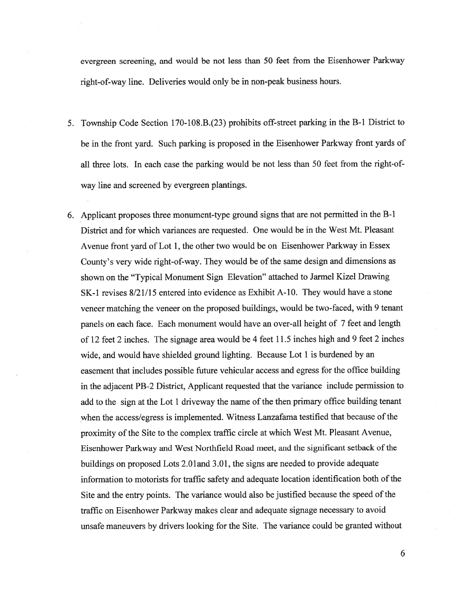evergreen screening, and would be not less than <sup>50</sup> feet from the Eisenhower Parkway right-of-way line. Deliveries would only be in non-pea<sup>k</sup> business hours.

- 5. Township Code Section 170-108.B.(23) prohibits off-street parking in the B-i District to be in the front yard. Such parking is propose<sup>d</sup> in the Eisenhower Parkway front yards of all three lots. In each case the parking would be not less than 50 feet from the right-ofway line and screened by evergreen plantings.
- 6. Applicant proposes three monument-type groun<sup>d</sup> signs that are not permitted in the B-i District and for which variances are requested. One would be in the West Mt. Pleasant Avenue front yard of Lot I, the other two would be on Eisenhower Parkway in Essex County's very wide right-of-way. They would be of the same design and dimensions as shown on the "Typical Monument Sign Elevation" attached to Jarmel Kizel Drawing SK-1 revises  $8/21/15$  entered into evidence as Exhibit A-10. They would have a stone veneer matching the veneer on the propose<sup>d</sup> buildings, would be two-faced, with <sup>9</sup> tenant panels on each face. Each monument would have an over-all height of <sup>7</sup> feet and length of <sup>12</sup> feet <sup>2</sup> inches. The signage area would be <sup>4</sup> feet 11.5 inches high and 9 feet <sup>2</sup> inches wide, and would have shielded ground lighting. Because Lot 1 is burdened by an easement that includes possible future vehicular access and egress for the office building in the adjacent PB-2 District, Applicant requested that the variance include permission to add to the sign at the Lot <sup>1</sup> driveway the name of the then primary office building tenant when the access/egress is implemented. Witness Lanzafama testified that because of the proximity of the Site to the complex traffic circle at which West Mt. Pleasant Avenue, Eisenhower Parkway and West Northfield Road meet, and the significant setback ofthe buildings on proposed Lots 2.Oland 3.01, the signs are needed to provide adequate information to motorists for traffic safety and adequate location identification both of the Site and the entry points. The variance would also be justified because the speed of the traffic on Eisenhower Parkway makes clear and adequate signage necessary to avoid unsafe maneuvers by drivers looking for the Site. The variance could be granted without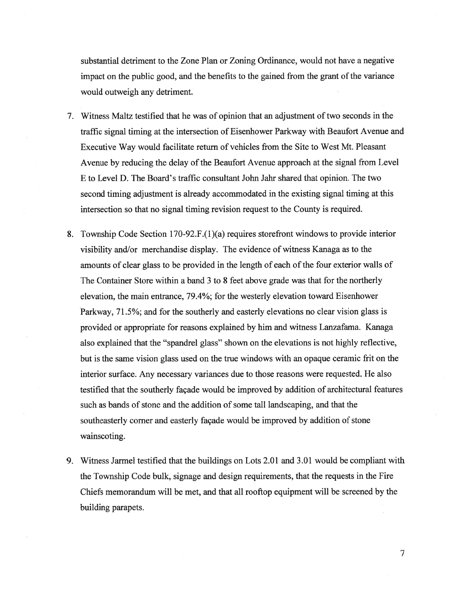substantial detriment to the Zone Plan or Zoning Ordinance, would not have <sup>a</sup> negative impact on the public good, and the benefits to the gained from the gran<sup>t</sup> of the variance would outweigh any detriment.

- 7. Witness Maltz testified that he was of opinion that an adjustment of two seconds in the traffic signal timing at the intersection of Eisenhower Parkway with Beaufort Avenue and Executive Way would facilitate return of vehicles from the Site to West Mt. Pleasant Avenue by reducing the delay of the Beaufort Avenue approach at the signal from Level E to Level D. The Board's traffic consultant John Jahr shared that opinion. The two second timing adjustment is already accommodated in the existing signal timing at this intersection so that no signal timing revision reques<sup>t</sup> to the County is required.
- 8. Township Code Section 170-92.F.(1)(a) requires storefront windows to provide interior visibility and/or merchandise display. The evidence of witness Kanaga as to the amounts of clear glass to be provided in the length of each of the four exterior walls of The Container Store within <sup>a</sup> band 3 to 8 feet above grade was that for the northerly elevation, the main entrance, 79.4%; for the westerly elevation toward Eisenhower Parkway, 71.5%; and for the southerly and easterly elevations no clear vision glass is provided or appropriate for reasons explained by him and witness Lanzafama. Kanaga also explained that the "spandrel glass" shown on the elevations is not highly reflective, but is the same vision glass used on the true windows with an opaque ceramic fit on the interior surface. Any necessary variances due to those reasons were requested. He also testified that the southerly façade would be improved by addition of architectural features such as bands of stone and the addition of some tall landscaping, and that the southeasterly corner and easterly façade would be improved by addition of stone wainscoting.
- 9. Witness Jarmel testified that the buildings on Lots 2.01 and 3.01 would be compliant with the Township Code bulk, signage and design requirements, that the requests in the Fire Chiefs memorandum will be met, and that all rooftop equipment will be screened by the building parapets.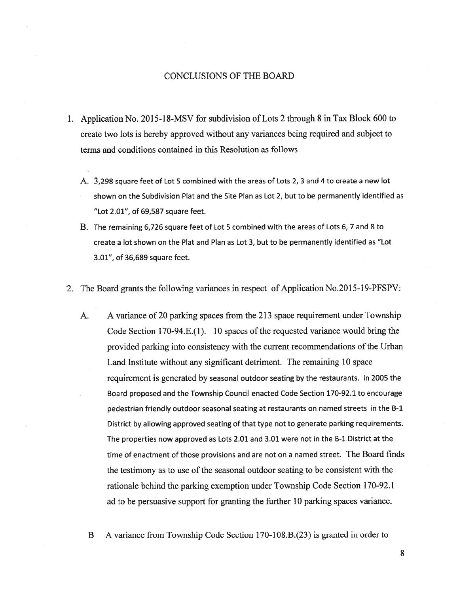## CONCLUSIONS OF THE BOARD

- 1. Application No. 2015-18-MSV for subdivision of Lots 2 through 8 in Tax Block 600 to create two lots is hereby approved without any variances being required and subject to terms and conditions contained in this Resolution as follows
	- A. 3,298 square feet of Lot 5 combined with the areas of Lots 2, 3 and 4 to create <sup>a</sup> new lot shown on the Subdivision Plat and the Site Plan as Lot 2, but to be permanently identified as "Lot 2.01", of 69,587 square feet.
	- B. The remaining 6,726 square feet of Lot 5 combined with the areas of Lots 6, 7 and 8 to create <sup>a</sup> lot shown on the Plat and Plan as Lot 3, but to be permanently identified as "Lot 3.01", of 36,689 square feet.
- 2. The Board grants the following variances in respec<sup>t</sup> of Application No.2015-19-PFSPV:
	- A. A variance of 20 parking spaces from the 213 space requirement under Township Code Section 170-94.E.(1). 10 spaces of the requested variance would bring the provided parking into consistency with the current recommendations of the Urban Land Institute without any significant detriment. The remaining 10 space requirement is generated by seasonal outdoor seating by the restaurants. In <sup>2005</sup> the Board propose<sup>d</sup> and the Township Council enacted Code Section 170-92.1 to encourage pedestrian friendly outdoor seasonal seating at restaurants on named streets in the B-i District by allowing approved seating of that type not to generate parking requirements. The properties now approved as Lots 2.01 and 3.01 were not in the B-1 District at the time of enactment of those provisions and are not on <sup>a</sup> named street. The Board finds the testimony as to use of the seasonal outdoor seating to be consistent with the rationale behind the parking exemption under Township Code Section 170-92.1 ad to be persuasive suppor<sup>t</sup> for granting the further 10 parking spaces variance.
		- B A variance from Township Code Section 170-108.B.(23) is granted in order to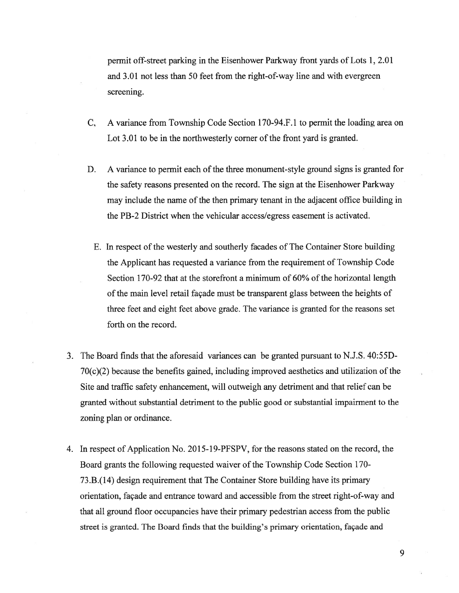permit off-street parking in the Eisenhower Parkway front yards of Lots 1, 2.01 and 3.01 not less than 50 feet from the right-of-way line and with evergreen screening.

- C, A variance from Township Code Section 170-94.F.1 to permit the loading area on Lot 3.01 to be in the northwesterly corner of the front yard is granted.
- D. A variance to permit each of the three monument-style ground signs is granted for the safety reasons presented on the record. The sign at the Eisenhower Parkway may include the name of the then primary tenant in the adjacent office building in the PB-2 District when the vehicular access/egress easement is activated.
	- E. In respec<sup>t</sup> of the westerly and southerly facades of The Container Store building the Applicant has requested <sup>a</sup> variance from the requirement of Township Code Section 170-92 that at the storefront a minimum of  $60\%$  of the horizontal length of the main level retail façade must be transparent glass between the heights of three feet and eight feet above grade. The variance is granted for the reasons set forth on the record.
- 3. The Board finds that the aforesaid variances can be granted pursuan<sup>t</sup> to N.J.S. 40:55D- $70(c)(2)$  because the benefits gained, including improved aesthetics and utilization of the Site and traffic safety enhancement, will outweigh any detriment and that relief can be granted without substantial detriment to the public good or substantial impairment to the zoning plan or ordinance.
- 4. In respec<sup>t</sup> of Application No. 2015-19-PFSPV, for the reasons stated on the record, the Board grants the following requested waiver of the Township Code Section 170- 73.B.(14) design requirement that The Container Store building have its primary orientation, façade and entrance toward and accessible from the street right-of-way and that all ground floor occupancies have their primary pedestrian access from the public street is granted. The Board finds that the building's primary orientation, façade and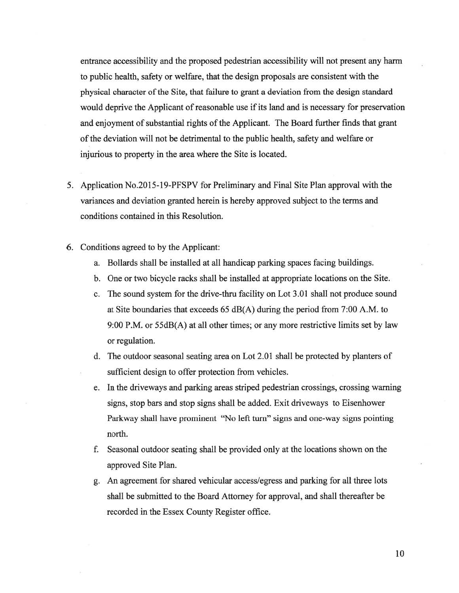entrance accessibility and the proposed pedestrian accessibility will not presen<sup>t</sup> any harm to public health, safety or welfare, that the design proposals are consistent with the physical character of the Site, that failure to grant a deviation from the design standard would deprive the Applicant of reasonable use if its land and is necessary for preservation and enjoyment of substantial rights of the Applicant. The Board further finds that grant of the deviation will not be detrimental to the public health, safety and welfare or injurious to property in the area where the Site is located.

- 5. Application No.2015-19-PFSPV for Preliminary and Final Site Plan approval with the variances and deviation granted herein is hereby approved subject to the terms and conditions contained in this Resolution.
- 6. Conditions agreed to by the Applicant:
	- a. Bollards shall be installed at all handicap parking spaces facing buildings.
	- b. One or two bicycle racks shall be installed at appropriate locations on the Site.
	- c. The sound system for the drive-thru facility on Lot 3.01 shall not produce sound at Site boundaries that exceeds 65 dB(A) during the period from 7:00 A.M. to 9:00 P.M. or 55dB(A) at all other times; or any more restrictive limits set by law or regulation.
	- d. The outdoor seasonal seating area on Lot 2.01 shall be protected by planters of sufficient design to offer protection from vehicles.
	- e. In the driveways and parking areas striped pedestrian crossings, crossing warning signs, stop bars and stop signs shall be added. Exit driveways to Eisenhower Parkway shall have prominent "No left turn" signs and one-way signs pointing north.
	- f. Seasonal outdoor seating shall be provided only at the locations shown on the approved Site Plan.
	- g. An agreemen<sup>t</sup> for shared vehicular access/egress and parking for all three lots shall be submitted to the Board Attorney for approval, and shall thereafter be recorded in the Essex County Register office.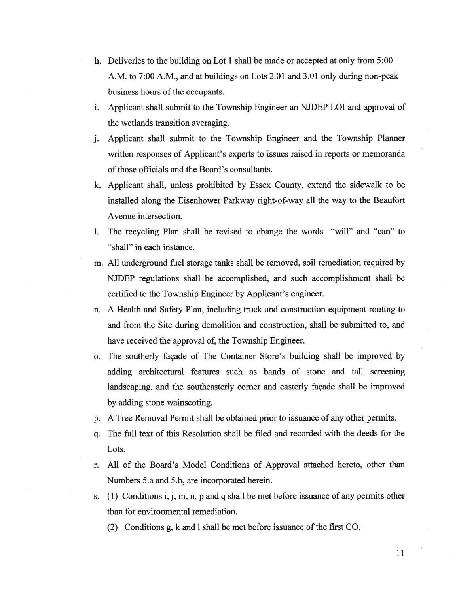- h. Deliveries to the building on Lot 1 shall be made or accepted at only from 5:00 A.M. to 7:00 A.M., and at buildings on Lots 2.01 and 3.01 only during non-peak business hours of the occupants.
- i. Applicant shall submit to the Township Engineer an NJDEP LOT and approval of the wetlands transition averaging.
- j. Applicant shall submit to the Township Engineer and the Township Planner written responses of Applicant's experts to issues raised in reports or memoranda of those officials and the Board's consultants.
- k. Applicant shall, unless prohibited by Essex County, extend the sidewalk to be installed along the Eisenhower Parkway right-of-way all the way to the Beaufort Avenue intersection.
- 1. The recycling Plan shall be revised to change the words "will" and "can" to "shall" in each instance.
- m. All underground fuel storage tanks shall be removed, soil remediation required by NJDEP regulations shall be accomplished, and such accomplishment shall be certified to the Township Engineer by Applicant's engineer.
- n. A Health and Safety Plan, including truck and construction equipment routing to and from the Site during demolition and construction, shall be submitted to, and have received the approval of, the Township Engineer.
- o. The southerly façade of The Container Store's building shall be improved by adding architectural features such as bands of stone and tall screening landscaping, and the southeasterly corner and easterly façade shall be improved by adding stone wainscoting.
- p. <sup>A</sup> Tree Removal Permit shall be obtained prior to issuance of any other permits.
- q. The full text of this Resolution shall be filed and recorded with the deeds for the Lots.
- r. All of the Board's Model Conditions of Approval attached hereto, other than Numbers 5.a and 5.b, are incorporated herein.
- s. (1) Conditions i, j, m, n, p and q shall be met before issuance of any permits other than for environmental remediation.
	- (2) Conditions g, <sup>k</sup> and <sup>1</sup> shall be met before issuance of the first CO.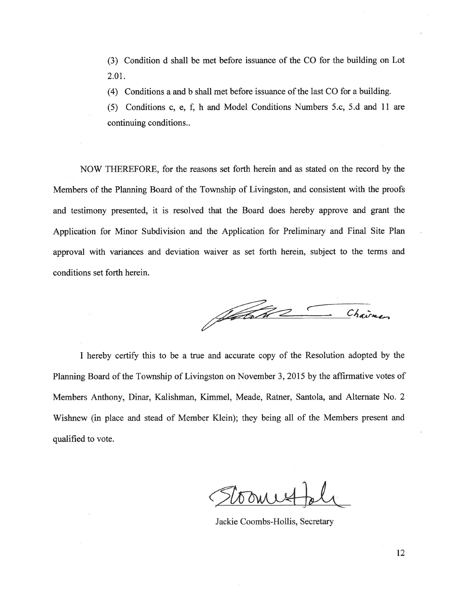(3) Condition d shall be met before issuance of the CO for the building on Lot 2.01.

(4) Conditions a and b shall met before issuance of the last CO for a building.

(5) Conditions c, e, f, h and Model Conditions Numbers 5.c, 5.d and 11 are continuing conditions..

NOW THEREFORE, for the reasons set forth herein and as stated on the record by the Members of the Planning Board of the Township of Livingston, and consistent with the proofs and testimony presented, it is resolved that the Board does hereby approve and gran<sup>t</sup> the Application for Minor Subdivision and the Application for Preliminary and Final Site Plan approval with variances and deviation waiver as set forth herein, subject to the terms and conditions set forth herein.

Jahre Chairmen

<sup>I</sup> hereby certify this to be <sup>a</sup> true and accurate copy of the Resolution adopted by the Planning Board of the Township of Livingston on November 3, 2015 by the affirmative votes of Members Anthony, Dinar, Kalishman, Kimmel, Meade, Ratner, Santola, and Alternate No. 2 Wishnew (in place and stead of Member Klein); they being all of the Members presen<sup>t</sup> and qualified to vote.

Dan 1

Jackie Coombs-Hollis, Secretary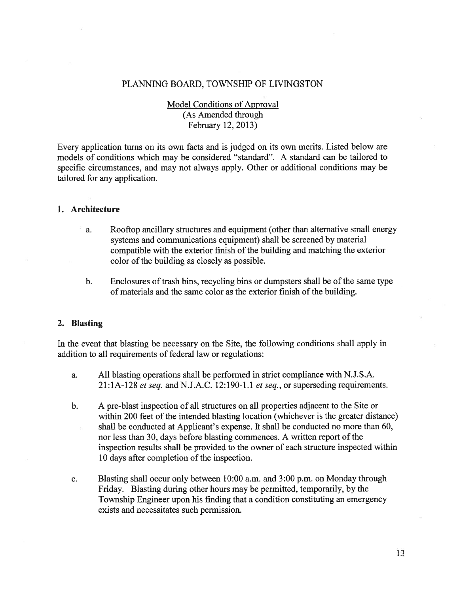## PLANNING BOARD, TOWNSHIP OF LIVINGSTON

Model Conditions of Approval (As Amended through February 12, 2013)

Every application turns on its own facts and is judged on its own merits. Listed below are models of conditions which may be considered "standard". A standard can be tailored to specific circumstances, and may not always apply. Other or additional conditions may be tailored for any application.

## 1. Architecture

- a. Rooftop ancillary structures and equipment (other than alternative small energy systems and communications equipment) shall be screened by material compatible with the exterior finish of the building and matching the exterior color of the building as closely as possible.
- b. Enclosures of trash bins, recycling bins or dumpsters shall be of the same type of materials and the same color as the exterior finish of the building.

### 2. Blasting

In the event that blasting be necessary on the Site, the following conditions shall apply in addition to all requirements of federal law or regulations:

- a. All blasting operations shall be performed in strict compliance with N.J.S.A.  $21:1A-128$  et seq. and N.J.A.C. 12:190-1.1 et seq., or superseding requirements.
- b. A pre-blast inspection of all structures on all properties adjacent to the Site or within 200 feet of the intended blasting location (whichever is the greater distance) shall be conducted at Applicant's expense. It shall be conducted no more than 60, nor less than 30, days before blasting commences. A written repor<sup>t</sup> of the inspection results shall be provided to the owner of each structure inspected within 10 days after completion of the inspection.
- c. Blasting shall occur only between 10:00 a.m. and 3:00 p.m. on Monday through Friday. Blasting during other hours may be permitted, temporarily, by the Township Engineer upon his finding that <sup>a</sup> condition constituting an emergency exists and necessitates such permission.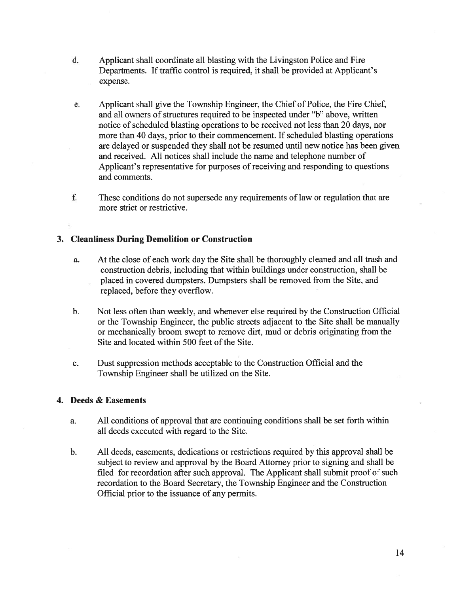- d. Applicant shall coordinate all blasting with the Livingston Police and Fire Departments. If traffic control is required, it shall be provided at Applicant's expense.
- e. Applicant shall give the Township Engineer, the Chief of Police, the Fire Chief, and all owners of structures required to be inspected under "b" above, written notice of scheduled blasting operations to be received not less than 20 days, nor more than 40 days, prior to their commencement. If scheduled blasting operations are delayed or suspended they shall not be resumed until new notice has been given and received. All notices shall include the name and telephone number of Applicant's representative for purposes of receiving and responding to questions and comments.
- f. These conditions do not supersede any requirements of law or regulation that are more strict or restrictive.

## 3. Cleanliness During Demolition or Construction

- a. At the close of each work day the Site shall be thoroughly cleaned and all trash and construction debris, including that within buildings under construction, shall be placed in covered dumpsters. Dumpsters shall be removed from the Site, and replaced, before they overflow.
- b. Not less often than weekly, and whenever else required by the Construction Official or the Township Engineer, the public streets adjacent to the Site shall be manually or mechanically broom swep<sup>t</sup> to remove dirt, mud or debris originating from the Site and located within 500 feet of the Site.
- c. Dust suppression methods acceptable to the Construction Official and the Township Engineer shall be utilized on the Site.

# 4. Deeds & Easements

- a. All conditions of approval that are continuing conditions shall be set forth within all deeds executed with regard to the Site.
- b. All deeds, easements, dedications or restrictions required by this approval shall be subject to review and approval by the Board Attorney prior to signing and shall be filed for recordation after such approval. The Applicant shall submit proof of such recordation to the Board Secretary, the Township Engineer and the Construction Official prior to the issuance of any permits.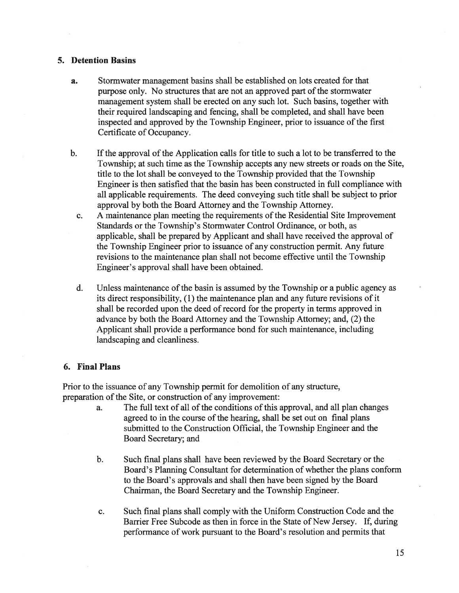## 5. Detention Basins

- a. Stormwater managemen<sup>t</sup> basins shall be established on lots created for that purpose only. No structures that are not an approved par<sup>t</sup> of the stormwater managemen<sup>t</sup> system shall be erected on any such lot. Such basins, together with their required landscaping and fencing, shall be completed, and shall have been inspected and approved by the Township Engineer, prior to issuance of the first Certificate of Occupancy.
- b. If the approval of the Application calls for title to such a lot to be transferred to the Township; at such time as the Township accepts any new streets or roads on the Site, title to the lot shall be conveyed to the Township provided that the Township Engineer is then satisfied that the basin has been constructed in full compliance with all applicable requirements. The deed conveying such title shall be subject to prior approval by both the Board Attorney and the Township Attorney.
	- c. A maintenance plan meeting the requirements of the Residential Site Improvement Standards or the Township's Stormwater Control Ordinance, or both, as applicable, shall be prepared by Applicant and shall have received the approval of the Township Engineer prior to issuance of any construction permit. Any future revisions to the maintenance plan shall not become effective until the Township Engineer's approval shall have been obtained.
	- d. Unless maintenance of the basin is assumed by the Township or <sup>a</sup> public agency as its direct responsibility, (1) the maintenance plan and any future revisions of it shall be recorded upon the deed of record for the property in terms approved in advance by both the Board Attorney and the Township Attorney; and, (2) the Applicant shall provide <sup>a</sup> performance bond for such maintenance, including landscaping and cleanliness.

## 6. Final Plans

Prior to the issuance of any Township permit for demolition of any structure, preparation of the Site, or construction of any improvement:

- a. The full text of all of the conditions of this approval, and all plan changes agreed to in the course of the hearing, shall be set out on final plans submitted to the Construction Official, the Township Engineer and the Board Secretary; and
- b. Such final plans shall have been reviewed by the Board Secretary or the Board's Planning Consultant for determination of whether the plans conform to the Board's approvals and shall then have been signed by the Board Chairman, the Board Secretary and the Township Engineer.
- c. Such final plans shall comply with the Uniform Construction Code and the Barrier Free Subcode as then in force in the State of New Jersey. If, during performance of work pursuan<sup>t</sup> to the Board's resolution and permits that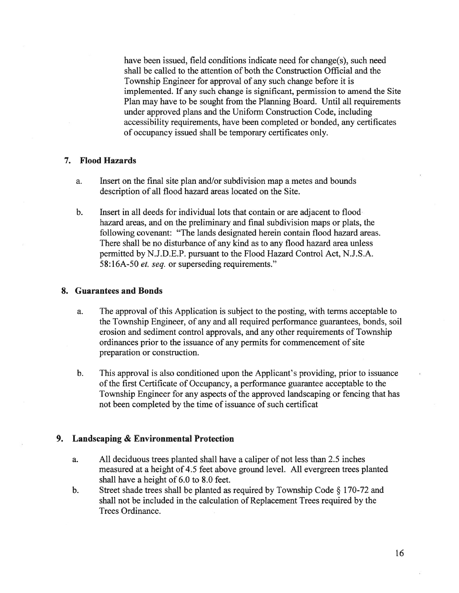have been issued, field conditions indicate need for change(s), such need shall be called to the attention of both the Construction Official and the Township Engineer for approval of any such change before it is implemented. If any such change is significant, permission to amend the Site Plan may have to be sought from the Planning Board. Until all requirements under approved plans and the Uniform Construction Code, including accessibility requirements, have been completed or bonded, any certificates of occupancy issued shall be temporary certificates only.

## 7. Flood Hazards

- a. Insert on the final site plan and/or subdivision map <sup>a</sup> metes and bounds description of all flood hazard areas located on the Site.
- b. Insert in all deeds for individual lots that contain or are adjacent to flood hazard areas, and on the preliminary and final subdivision maps or plats, the following covenant: "The lands designated herein contain flood hazard areas. There shall be no disturbance of any kind as to any flood hazard area unless permitted by N.J.D.E.P. pursuan<sup>t</sup> to the Flood Hazard Control Act, N.J.S.A. 58:16A-50 et. seq. or superseding requirements."

#### 8. Guarantees and Bonds

- a. The approval of this Application is subject to the posting, with terms acceptable to the Township Engineer, of any and all required performance guarantees, bonds, soil erosion and sediment control approvals, and any other requirements of Township ordinances prior to the issuance of any permits for commencement of site preparation or construction.
- b. This approval is also conditioned upon the Applicant's providing, prior to issuance of the first Certificate of Occupancy, <sup>a</sup> performance guarantee acceptable to the Township Engineer for any aspects of the approved landscaping or fencing that has not been completed by the time of issuance of such certificat

### 9. Landscaping & Environmental Protection

- a. All deciduous trees planted shall have <sup>a</sup> caliper of not less than 2.5 inches measured at <sup>a</sup> height of 4.5 feet above ground level. All evergreen trees planted shall have <sup>a</sup> height of 6.0 to 8.0 feet.
- b. Street shade trees shall be planted as required by Township Code  $\S$  170-72 and shall not be included in the calculation of Replacement Trees required by the Trees Ordinance.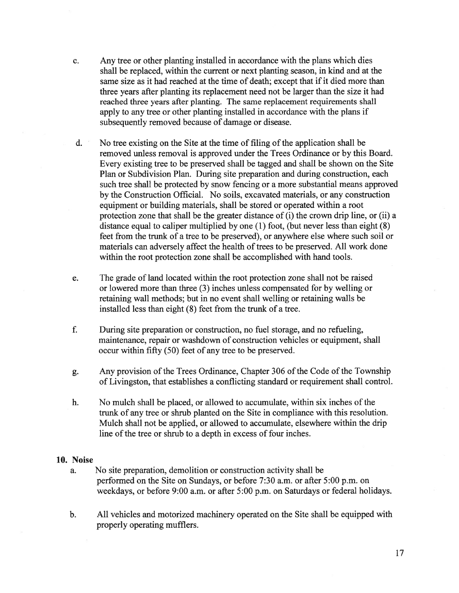- c. Any tree or other planting installed in accordance with the plans which dies shall be replaced, within the current or next planting season, in kind and at the same size as it had reached at the time of death; except that if it died more than three years after planting its replacement need not be larger than the size it had reached three years after planting. The same replacement requirements shall apply to any tree or other planting installed in accordance with the plans if subsequently removed because of damage or disease.
- d.  $\blacksquare$  No tree existing on the Site at the time of filing of the application shall be removed unless removal is approved under the Trees Ordinance or by this Board. Every existing tree to be preserved shall be tagged and shall be shown on the Site Plan or Subdivision Plan. During site preparation and during construction, each such tree shall be protected by snow fencing or <sup>a</sup> more substantial means approved by the Construction Official. No soils, excavated materials, or any construction equipment or building materials, shall be stored or operated within <sup>a</sup> root protection zone that shall be the greater distance of (i) the crown drip line, or (ii) <sup>a</sup> distance equal to caliper multiplied by one (1) foot, (but never less than eight (8) feet from the trunk of <sup>a</sup> tree to be preserved), or anywhere else where such soil or materials can adversely affect the health of trees to be preserved. All work done within the root protection zone shall be accomplished with hand tools.
- e. The grade of land located within the root protection zone shall not be raised or lowered more than three (3) inches unless compensated for by welling or retaining wall methods; but in no event shall welling or retaining walls be installed less than eight (8) feet from the trunk of <sup>a</sup> tree.
- f. During site preparation or construction, no fuel storage, and no refueling, maintenance, repair or washdown of construction vehicles or equipment, shall occur within fifty (50) feet of any tree to be preserved.
- g. Any provision of the Trees Ordinance, Chapter 306 of the Code of the Township of Livingston, that establishes <sup>a</sup> conflicting standard or requirement shall control.
- h. No mulch shall be placed, or allowed to accumulate, within six inches of the trunk of any tree or shrub planted on the Site in compliance with this resolution. Mulch shall not be applied, or allowed to accumulate, elsewhere within the drip line of the tree or shrub to <sup>a</sup> depth in excess of four inches.

#### 10. Noise

- a. No site preparation, demolition or construction activity shall be performed on the Site on Sundays, or before 7:30 a.m. or after 5:00 p.m. on weekdays, or before 9:00 a.m. or after 5:00 p.m. on Saturdays or federal holidays.
- b. All vehicles and motorized machinery operated on the Site shall be equipped with properly operating mufflers.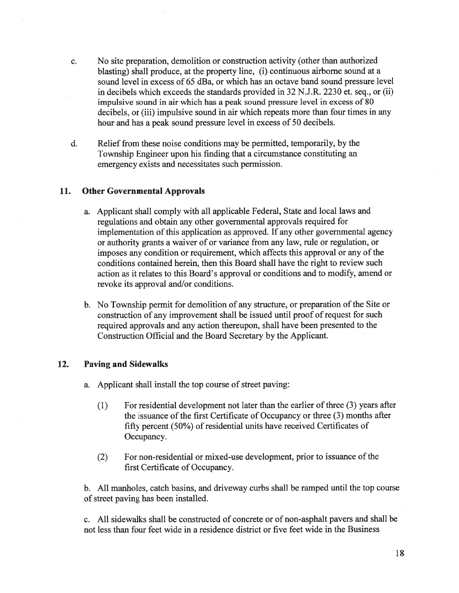- c. No site preparation, demolition or construction activity (other than authorized blasting) shall produce, at the property line, (i) continuous airborne sound at <sup>a</sup> sound level in excess of 65 dBa, or which has an octave band sound pressure level in decibels which exceeds the standards provided in 32 N.J.R. 2230 et. seq., or (ii) impulsive sound in air which has <sup>a</sup> peak sound pressure level in excess of 80 decibels, or (iii) impulsive sound in air which repeats more than four times in any hour and has <sup>a</sup> peak sound pressure level in excess of 50 decibels.
- d. Relief from these noise conditions may be permitted, temporarily, by the Township Engineer upon his finding that <sup>a</sup> circumstance constituting an emergency exists and necessitates such permission.

### 11. Other Governmental Approvals

- a. Applicant shall comply with all applicable Federal, State and local laws and regulations and obtain any other governmental approvals required for implementation of this application as approved. If any other governmental agency or authority grants <sup>a</sup> waiver of or variance from any law, rule or regulation, or imposes any condition or requirement, which affects this approval or any of the conditions contained herein, then this Board shall have the right to review such action as it relates to this Board's approval or conditions and to modify, amend or revoke its approval and/or conditions.
- b. No Township permit for demolition of any structure, or preparation of the Site or construction of any improvement shall be issued until proof of reques<sup>t</sup> for such required approvals and any action thereupon, shall have been presented to the Construction Official and the Board Secretary by the Applicant.

#### 12. Paving and Sidewalks

a. Applicant shall install the top course of street paving:

- $(1)$  For residential development not later than the earlier of three  $(3)$  years after the issuance of the first Certificate of Occupancy or three (3) months after fifty percen<sup>t</sup> (50%) of residential units have received Certificates of Occupancy.
- (2) For non-residential or mixed-use development, prior to issuance of the first Certificate of Occupancy.

b. All manholes, catch basins, and driveway curbs shall be ramped until the top course of street paving has been installed.

c. All sidewalks shall be constructed of concrete or of non-asphalt payers and shall be not less than four feet wide in <sup>a</sup> residence district or five feet wide in the Business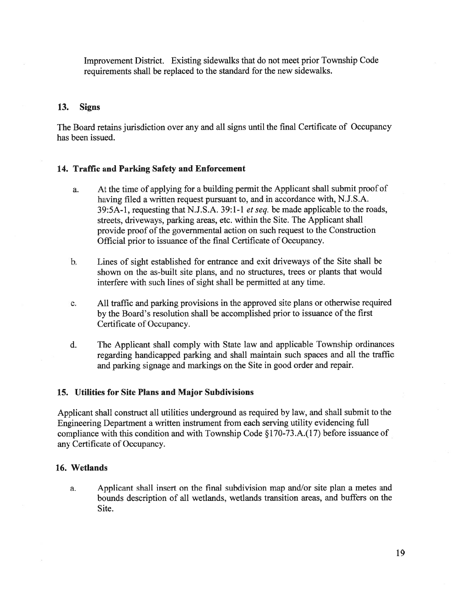Improvement District. Existing sidewalks that do not meet prior Township Code requirements shall be replaced to the standard for the new sidewalks.

## 13. Signs

The Board retains jurisdiction over any and all signs until the final Certificate of Occupancy has been issued.

### 14. Traffic and Parking Safety and Enforcement

- a. At the time of applying for <sup>a</sup> building permit the Applicant shall submit proof of having filed <sup>a</sup> written reques<sup>t</sup> pursuan<sup>t</sup> to, and in accordance with, N.J.S.A. 39:5A-1, requesting that N.J.S.A. 39:1-1 et seq. be made applicable to the roads, streets, driveways, parking areas, etc. within the Site. The Applicant shall provide proof of the governmental action on such request to the Construction Official prior to issuance of the final Certificate of Occupancy.
- b. Lines of sight established for entrance and exit driveways of the Site shall be shown on the as-built site plans, and no structures, trees or plants that would interfere with such lines of sight shall be permitted at any time.
- c. All traffic and parking provisions in the approved site <sup>p</sup>lans or otherwise required by the Board's resolution shall be accomplished prior to issuance of the first Certificate of Occupancy.
- d. The Applicant shall comply with State law and applicable Township ordinances regarding handicapped parking and shall maintain such spaces and all the traffic and parking signage and markings on the Site in good order and repair.

### 15. Utilities for Site Plans and Major Subdivisions

Applicant shall construct all utilities underground as required by law, and shall submit to the Engineering Department <sup>a</sup> written instrument from each serving utility evidencing full compliance with this condition and with Township Code §170-73.A.(17) before issuance of any Certificate of Occupancy.

#### 16. Wetlands

a. Applicant shall insert on the final subdivision map and/or site <sup>p</sup>lan <sup>a</sup> metes and bounds description of all wetlands, wetlands transition areas, and buffers on the Site.